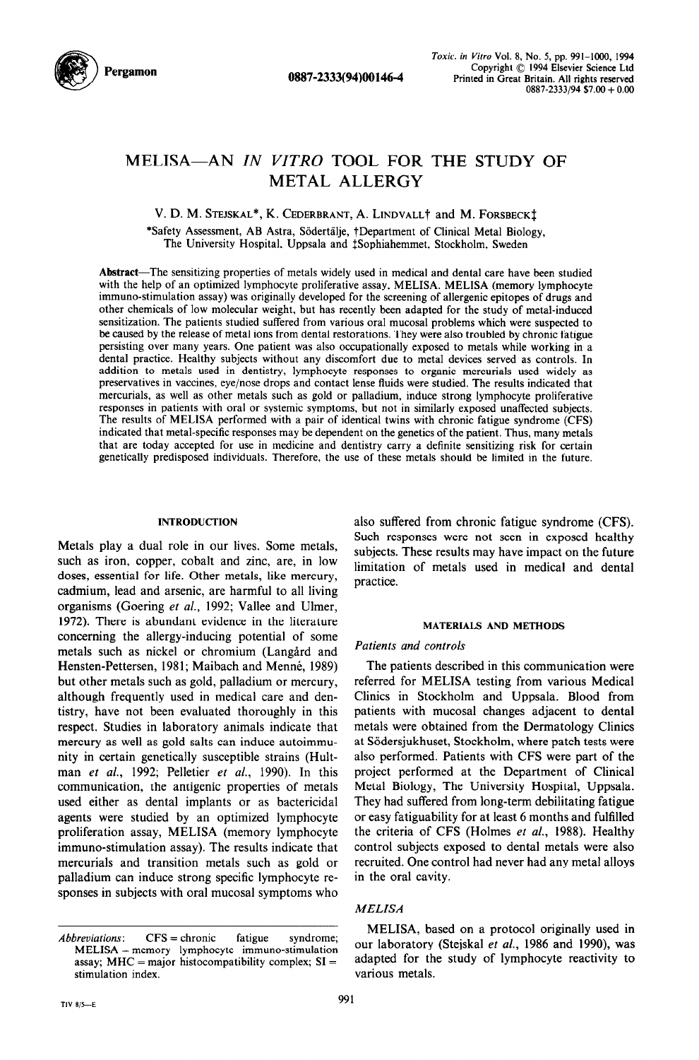

# MELISA-AN IN VITRO TOOL FOR THE STUDY OF **METAL ALLERGY**

## V. D. M. STEJSKAL<sup>\*</sup>, K. CEDERBRANT, A. LINDVALL<sup>†</sup> and M. FORSBECK<sup>†</sup>

\*Safety Assessment, AB Astra, Södertälie, †Department of Clinical Metal Biology, The University Hospital, Uppsala and ‡Sophiahemmet, Stockholm, Sweden

Abstract—The sensitizing properties of metals widely used in medical and dental care have been studied with the help of an optimized lymphocyte proliferative assay, MELISA. MELISA (memory lymphocyte immuno-stimulation assay) was originally developed for the screening of allergenic epitopes of drugs and other chemicals of low molecular weight, but has recently been adapted for the study of metal-induced sensitization. The patients studied suffered from various oral mucosal problems which were suspected to be caused by the release of metal ions from dental restorations. They were also troubled by chronic fatigue persisting over many years. One patient was also occupationally exposed to metals while working in a dental practice. Healthy subjects without any discomfort due to metal devices served as controls. In addition to metals used in dentistry, lymphocyte responses to organic mercurials used widely as preservatives in vaccines, eye/nose drops and contact lense fluids were studied. The results indicated that mercurials, as well as other metals such as gold or palladium, induce strong lymphocyte proliferative responses in patients with oral or systemic symptoms, but not in similarly exposed unaffected subjects. The results of MELISA performed with a pair of identical twins with chronic fatigue syndrome (CFS) indicated that metal-specific responses may be dependent on the genetics of the patient. Thus, many metals that are today accepted for use in medicine and dentistry carry a definite sensitizing risk for certain genetically predisposed individuals. Therefore, the use of these metals should be limited in the future.

## INTRODUCTION

Metals play a dual role in our lives. Some metals, such as iron, copper, cobalt and zinc, are, in low doses, essential for life. Other metals, like mercury, cadmium, lead and arsenic, are harmful to all living organisms (Goering *et al.,* 1992; Vallee and Ulmer, 1972). There is abundant evidence in the literature concerning the allergy-inducing potential of some metals such as nickel or chromium (Langård and Hensten-Pettersen, 1981; Maibach and Menné, 1989) but other metals such as gold, palladium or mercury, although frequently used in medical care and dentistry, have not been evaluated thoroughly in this respect. Studies in laboratory animals indicate that mercury as well as gold salts can induce autoimmunity in certain genetically susceptible strains (Hultman et *al.,* 1992; Pelletier *et al.,* 1990). In this communication, the antigenic properties of metals used either as dental implants or as bactericidal agents were studied by an optimized lymphocyte proliferation assay, MELISA (memory lymphocyte immuno-stimulation assay). The results indicate that mercurials and transition metals such as gold or palladium can induce strong specific lymphocyte responses in subjects with oral mucosal symptoms who also suffered from chronic fatigue syndrome (CFS). Such responses were not seen in exposed healthy subjects. These results may have impact on the future limitation of metals used in medical and dental practice.

#### MATERIALS AND METHODS

## *Patients and controls*

The patients described in this communication were referred for MELISA testing from various Medical Clinics in Stockholm and Uppsala. Blood from patients with mucosal changes adjacent to dental metals were obtained from the Dermatology Clinics at Södersjukhuset, Stockholm, where patch tests were also performed. Patients with CFS were part of the project performed at the Department of Clinical Metal Biology, The University Hospital, Uppsala. They had suffered from long-term debilitating fatigue or easy fatiguability for at least 6 months and fulfilled the criteria of CFS (Holmes *et al.,* 1988). Healthy control subjects exposed to dental metals were also recruited. One control had never had any metal alloys in the oral cavity.

## *MELISA*

MELISA, based on a protocol originally used in our laboratory (Stejskal *et al.,* 1986 and 1990), was adapted for the study of lymphocyte reactivity to various metals.

*Abbreviations:* CFS = chronic fatigue syndrome; MELISA = memory lymphocyte immuno-stimulation assay;  $MHC =$  major histocompatibility complex;  $SI =$ stimulation index.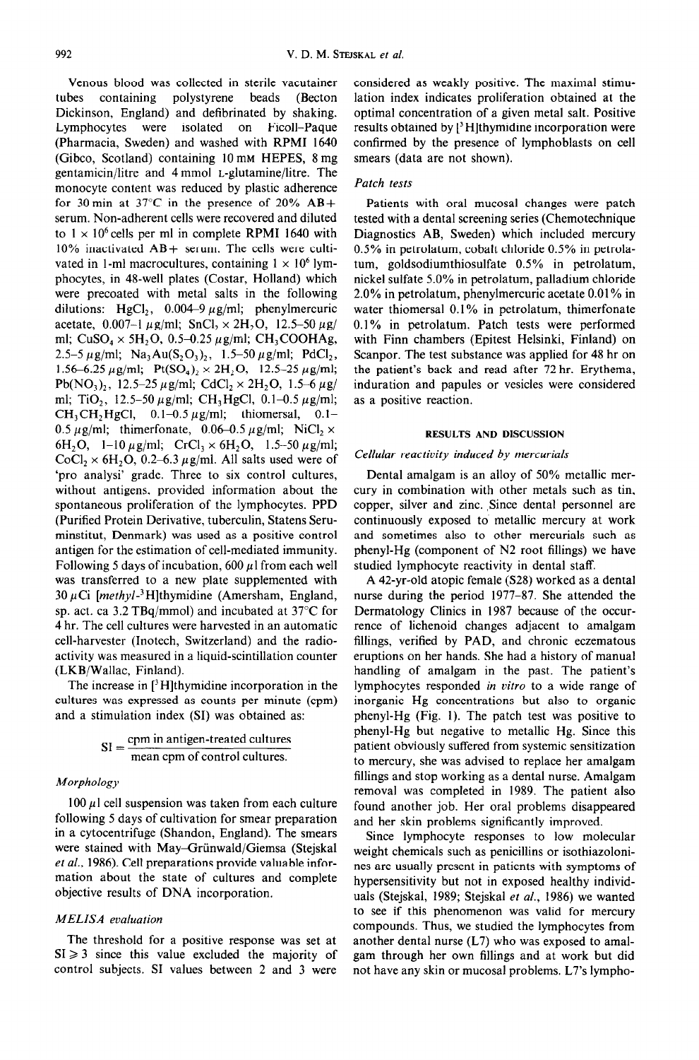Venous blood was collected in sterile vacutainer tubes containing polystyrene beads (Becton Dickinson, England) and defibrinated by shaking. Lymphocytes were isolated on Ficoll-Paque (Pharmacia, Sweden) and washed with RPM1 1640 (Gibco, Scotland) containing 10 mM HEPES, 8 mg gentamicin/litre and 4 mmol *L*-glutamine/litre. The monocyte content was reduced by plastic adherence for 30 min at 37°C in the presence of 20%  $AB+$ serum. Non-adherent cells were recovered and diluted to  $1 \times 10^6$  cells per ml in complete RPMI 1640 with 10% inactivated AB+ serum. The cells were cultivated in 1-ml macrocultures, containing  $1 \times 10^6$  lymphocytes, in 48-well plates (Costar, Holland) which were precoated with metal salts in the following dilutions: HgCl<sub>2</sub>, 0.004-9  $\mu$ g/ml; phenylmercuric acetate, 0.007-1  $\mu$ g/ml; SnCl<sub>2</sub> × 2H<sub>2</sub>O, 12.5-50  $\mu$ g/ ml;  $CuSO<sub>4</sub> \times 5H<sub>2</sub>O$ , 0.5–0.25  $\mu$ g/ml; CH<sub>3</sub>COOHAg, 2.5-5  $\mu$ g/ml; Na<sub>3</sub>Au(S<sub>2</sub>O<sub>3</sub>)<sub>2</sub>, 1.5-50  $\mu$ g/ml; PdCl<sub>2</sub>, 1.56-6.25  $\mu$ g/ml; Pt(SO<sub>4</sub>)<sub>2</sub> × 2H<sub>2</sub>O, 12.5-25  $\mu$ g/ml; Pb(NO<sub>3</sub>)<sub>2</sub>, 12.5–25  $\mu$ g/ml; CdCl<sub>2</sub> × 2H<sub>2</sub>O, 1.5–6  $\mu$ g/ ml; TiO<sub>2</sub>, 12.5-50  $\mu$ g/ml; CH<sub>3</sub>HgCl, 0.1-0.5  $\mu$ g/ml;  $CH<sub>3</sub>CH<sub>2</sub>HgCl$ , 0.1-0.5  $\mu$ g/ml; thiomersal, 0.1-0.5  $\mu$ g/ml; thimerfonate, 0.06–0.5  $\mu$ g/ml; NiCl<sub>2</sub> × 6H<sub>2</sub>O, 1-10  $\mu$ g/ml; CrCl<sub>3</sub> × 6H<sub>2</sub>O, 1.5-50  $\mu$ g/ml;  $CoCl_2 \times 6H_2O$ , 0.2–6.3  $\mu$ g/ml. All salts used were of 'pro analysi' grade. Three to six control cultures, without antigens, provided information about the spontaneous proliferation of the lymphocytes. PPD (Purified Protein Derivative, tuberculin, Statens Seruminstitut, Denmark) was used as a positive control antigen for the estimation of cell-mediated immunity. Following 5 days of incubation, 600  $\mu$ l from each well was transferred to a new plate supplemented with 30  $\mu$ Ci [methyl-<sup>3</sup>H]thymidine (Amersham, England, sp. act. ca 3.2 TBq/mmol) and incubated at 37°C for 4 hr. The cell cultures were harvested in an automatic cell-harvester (Inotech, Switzerland) and the radioactivity was measured in a liquid-scintillation counter (LKB/Wallac, Finland).

The increase in  $[3H]$ thymidine incorporation in the cultures was expressed as counts per minute (cpm) and a stimulation index (SI) was obtained as:

$$
SI = \frac{cpm \text{ in antigen-treated cultures}}{\text{mean rpm of control cultures.}}
$$

#### *Morphology*

 $100 \mu l$  cell suspension was taken from each culture following 5 days of cultivation for smear preparation in a cytocentrifuge (Shandon, England). The smears were stained with May-Grünwald/Giemsa (Stejskal er *al., 1986).* Cell preparations provide valuable information about the state of cultures and complete objective results of DNA incorporation.

## *MELISA evaluation*

The threshold for a positive response was set at  $SI \geq 3$  since this value excluded the majority of control subjects. SI values between 2 and 3 were considered as weakly positive. The maximal stimulation index indicates proliferation obtained at the optimal concentration of a given metal salt. Positive results obtained by  $[3H]$ thymidine incorporation were confirmed by the presence of lymphoblasts on cell smears (data are not shown).

### *Patch tests*

Patients with oral mucosal changes were patch tested with a dental screening series (Chemotechnique Diagnostics AB, Sweden) which included mercury 0.5% in petrolatum, cobalt chloride 0.5% in petrolaturn, goldsodiumthiosulfate 0.5% in petrolatum, nickel sulfate 5.0% in petrolatum, palladium chloride 2.0% in petrolatum, phenylmercuric acetate 0.01% in water thiomersal 0.1% in petrolatum, thimerfonate 0.1% in petrolatum. Patch tests were performed with Finn chambers (Epitest Helsinki, Finland) on Scanpor. The test substance was applied for 48 hr on the patient's back and read after 72 hr. Erythema, induration and papules or vesicles were considered as a positive reaction.

#### RESULTS AND DISCUSSION

#### *Cellular reactivity induced by mercurials*

Dental amalgam is an alloy of 50% metallic mercury in combination with other metals such as tin, copper, silver and zinc. Since dental personnel are continuously exposed to' metallic mercury at work and sometimes also to other mercurials such as phenyl-Hg (component of N2 root fillings) we have studied lymphocyte reactivity in dental staff.

A 42-yr-old atopic female (S28) worked as a dental nurse during the period 1977-87. She attended the Dermatology Clinics in 1987 because of the occurrence of lichenoid changes adjacent to amalgam fillings, verified by PAD, and chronic eczematous eruptions on her hands. She had a history of manual handling of amalgam in the past. The patient's lymphocytes responded *in vitro* to a wide range of inorganic Hg concentrations but also to organic phenyl-Hg (Fig. 1). The patch test was positive to phenyl-Hg but negative to metallic Hg. Since this patient obviously suffered from systemic sensitization to mercury, she was advised to replace her amalgam fillings and stop working as a dental nurse. Amalgam removal was completed in 1989. The patient also found another job. Her oral problems disappeared and her skin problems significantly improved.

Since lymphocyte responses to low molecular weight chemicals such as penicillins or isothiazolonines are usually present in patients with symptoms of hypersensitivity but not in exposed healthy individuals (Stejskal, 1989; Stejskal et *al.,* 1986) we wanted to see if this phenomenon was valid for mercury compounds. Thus, we studied the lymphocytes from another dental nurse (L7) who was exposed to amalgam through her own fillings and at work but did not have any skin or mucosal problems. L7's lympho-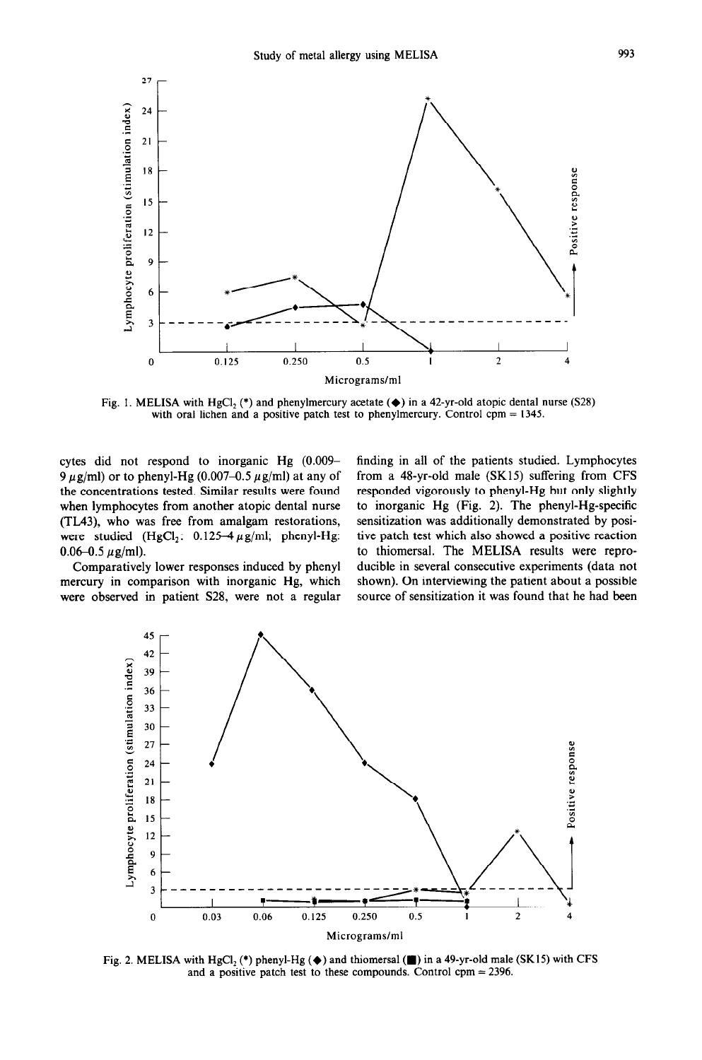

Fig. 1. MELISA with HgCl<sub>2</sub> (\*) and phenylmercury acetate ( $\blacklozenge$ ) in a 42-yr-old atopic dental nurse (S28) with oral lichen and a positive patch test to phenylmercury. Control cpm = 1345.

cytes did not respond to inorganic Hg (0.009- 9  $\mu$ g/ml) or to phenyl-Hg (0.007–0.5  $\mu$ g/ml) at any of the concentrations tested. Similar results were found when lymphocytes from another atopic dental nurse (TL43), who was free from amalgam restorations, were studied  $(HgCl<sub>2</sub>: 0.125-4 µg/ml; phenyl-Hg:$  $0.06 - 0.5 \mu g/ml$ .

Comparatively lower responses induced by phenyl mercury in comparison with inorganic Hg, which were observed in patient S28, were not a regular finding in all of the patients studied. Lymphocytes from a 4%yr-old male (SKlS) suffering from CFS responded vigorously to phenyl-Hg but only slightly to inorganic Hg (Fig. 2). The phenyl-Hg-specific sensitization was additionally demonstrated by positive patch test which also showed a positive reaction to thiomersal. The MELISA results were reproducible in several consecutive experiments (data not shown). On interviewing the patient about a possible source of sensitization it was found that he had been



Fig. 2. MELISA with HgCl<sub>2</sub> (\*) phenyl-Hg ( $\blacklozenge$ ) and thiomersal ( $\blacksquare$ ) in a 49-yr-old male (SK15) with CFS and a positive patch test to these compounds. Control cpm = 2396.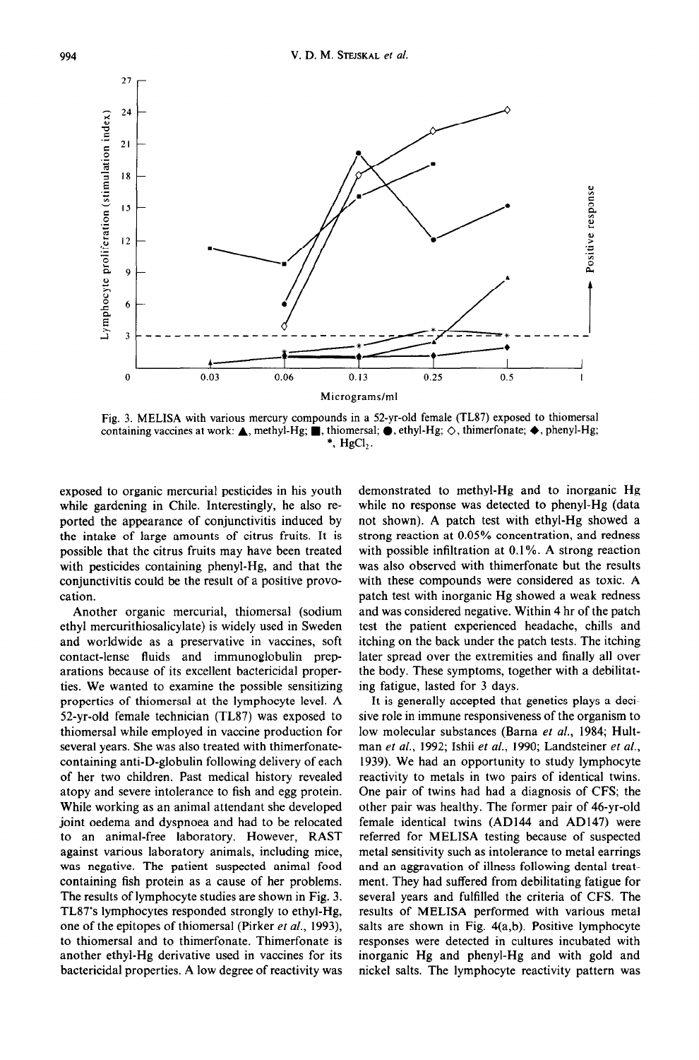

Fig. 3. MELISA with various mercury compounds in a 52-yr-old female (TL87) exposed to thiomersal containing vaccines at work:  $\blacktriangle$ , methyl-Hg;  $\blacksquare$ , thiomersal;  $\blacklozenge$ , ethyl-Hg;  $\diamond$ , thimerfonate;  $\blacklozenge$ , phenyl-Hg; \*,  $HgCl<sub>2</sub>$ .

exposed to organic mercurial pesticides in his youth while gardening in Chile. Interestingly, he also reported the appearance of conjunctivitis induced by the intake of large amounts of citrus fruits. It is possible that the citrus fruits may have been treated with pesticides containing phenyl-Hg, and that the conjunctivitis could be the result of a positive provocation.

Another organic mercurial, thiomersal (sodium ethyl mercurithiosalicylate) is widely used in Sweden and worldwide as a preservative in vaccines, soft contact-lense fluids and immunoglobulin preparations because of its excellent bactericidal properties. We wanted to examine the possible sensitizing properties of thiomersal at the lymphocyte level. A 52-yr-old female technician (TL87) was exposed to thiomersal while employed in vaccine production for several years. She was also treated with thimerfonatecontaining anti-D-globulin following delivery of each of her two children. Past medical history revealed atopy and severe intolerance to fish and egg protein. While working as an animal attendant she developed joint oedema and dyspnoea and had to be relocated to an animal-free laboratory. However, RAST against various laboratory animals, including mice, was negative. The patient suspected animal food containing fish protein as a cause of her problems. The results of lymphocyte studies are shown in Fig. 3. TL87's lymphocytes responded strongly to ethyl-Hg, one of the epitopes of thiomersal (Pirker et al., 1993), to thiomersal and to thimerfonate. Thimerfonate is another ethyl-Hg derivative used in vaccines for its bactericidal properties. A low degree of reactivity was

demonstrated to methyl-Hg and to inorganic Hg while no response was detected to phenyl-Hg (data not shown). A patch test with ethyl-Hg showed a strong reaction at 0.05% concentration, and redness with possible infiltration at  $0.1\%$ . A strong reaction was also observed with thimerfonate but the results with these compounds were considered as toxic. A patch test with inorganic Hg showed a weak redness and was considered negative. Within 4 hr of the patch test the patient experienced headache, chills and itching on the back under the patch tests. The itching later spread over the extremities and finally all over the body. These symptoms, together with a debilitating fatigue, lasted for 3 days.

It is generally accepted that genetics plays a decisive role in immune responsiveness of the organism to low molecular substances (Barna et al., 1984; Hultman et al., 1992; Ishii et al., 1990; Landsteiner et al., 1939). We had an opportunity to study lymphocyte reactivity to metals in two pairs of identical twins. One pair of twins had had a diagnosis of CFS; the other pair was healthy. The former pair of 46-yr-old female identical twins (AD144 and AD147) were referred for MELISA testing because of suspected metal sensitivity such as intolerance to metal earrings and an aggravation of illness following dental treatment. They had suffered from debilitating fatigue for several years and fulfilled the criteria of CFS. The results of MELISA performed with various metal salts are shown in Fig. 4(a,b). Positive lymphocyte responses were detected in cultures incubated with inorganic Hg and phenyl-Hg and with gold and nickel salts. The lymphocyte reactivity pattern was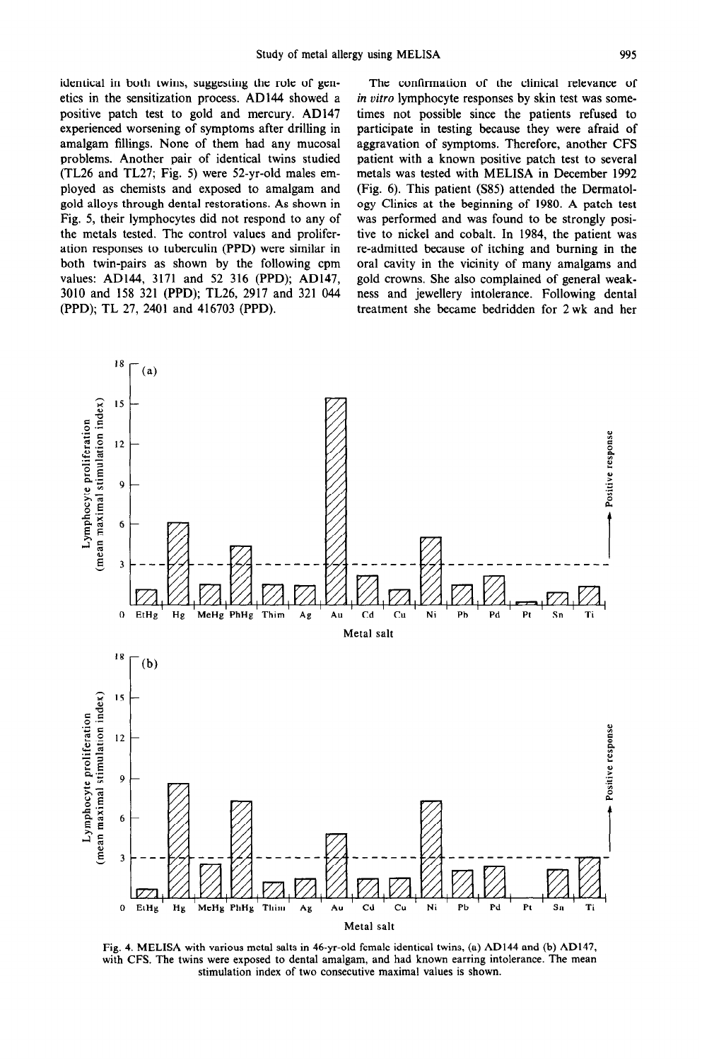identical in both twins, suggesting the role of genetics in the sensitization process. AD144 showed a positive patch test to gold and mercury. AD147 experienced worsening of symptoms after drilling in amalgam fillings. None of them had any mucosal problems. Another pair of identical twins studied (TL26 and TL27; Fig. 5) were 52-yr-old males employed as chemists and exposed to amalgam and gold alloys through dental restorations. As shown in Fig. 5, their lymphocytes did not respond to any of the metals tested. The control values and proliferation responses to tuberculin (PPD) were similar in both twin-pairs as shown by the following cpm values: AD144, 3171 and 52 316 (PPD); AD147, 3010 and 158 321 (PPD); TL26, 2917 and 321 044 (PPD); TL 27, 2401 and 416703 (PPD).

The confirmation of the clinical relevance of *in vitro* lymphocyte responses by skin test was sometimes not possible since the patients refused to participate in testing because they were afraid of aggravation of symptoms. Therefore, another CFS patient with a known positive patch test to several metals was tested with MELISA in December 1992 (Fig. 6). This patient (S85) attended the Dermatology Clinics at the beginning of 1980. A patch test was performed and was found to be strongly positive to nickel and cobalt. In 1984, the patient was re-admitted because of itching and burning in the oral cavity in the vicinity of many amalgams and gold crowns. She also complained of general weakness and jewellery intolerance. Following dental treatment she became bedridden for 2 wk and her



Fig. 4. MELISA with various metal salts in 46-yr-old female identical twins, (a) AD144 and (b) AD147, with CFS. The twins were exposed to dental amalgam, and had known earring intolerance. The mean stimulation index of two consecutive maximal values is shown.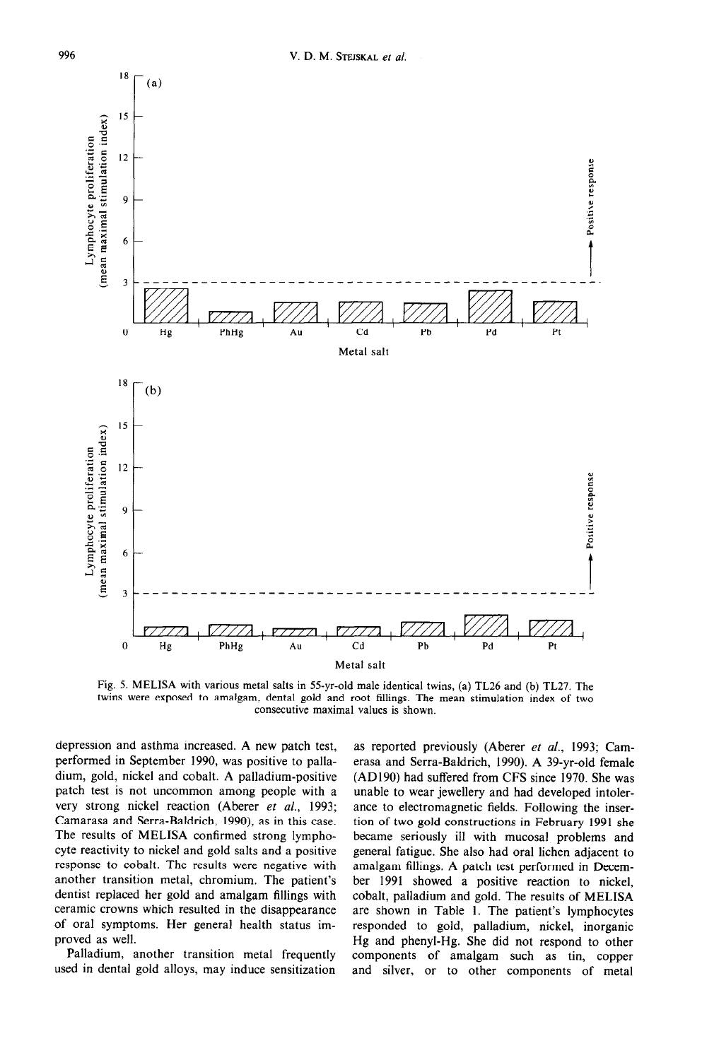

Fig. 5. MELISA with various metal salts in 55-yr-old male identical twins, (a) TL26 and (b) TL27. The twins were exposed to amalgam. dental gold and root fillings. The mean stimulation index of two consecutive maximal values is shown.

depression and asthma increased. A new patch test, performed in September 1990, was positive to palladium, gold, nickel and cobalt. A palladium-positive patch test is not uncommon among people with a very strong nickel reaction (Aberer et al., 1993; Camarasa and Serra-Baldrich, 1990), as in this case. The results of MELISA confirmed strong lymphocyte reactivity to nickel and gold salts and a positive response to cobalt. The results were negative with another transition metal, chromium. The patient's dentist replaced her gold and amalgam fillings with ceramic crowns which resulted in the disappearance of oral symptoms. Her general health status improved as well.

Palladium, another transition metal frequently used in dental gold alloys, may induce sensitization

as reported previously (Aberer *et al.,* 1993; Camerasa and Serra-Baldrich, 1990). A 39-yr-old female (AD190) had suffered from CFS since 1970. She was unable to wear jewellery and had developed intolerance to electromagnetic fields. Following the insertion of two gold constructions in February 1991 she became seriously ill with mucosal problems and general fatigue. She also had oral lichen adjacent to amalgam fillings. A patch test performed in December 1991 showed a positive reaction to nickel, cobalt, palladium and gold. The results of MELISA are shown in Table 1. The patient's lymphocytes responded to gold, palladium, nickel, inorganic Hg and phenyl-Hg. She did not respond to other components of amalgam such as tin, copper and silver, or to other components of metal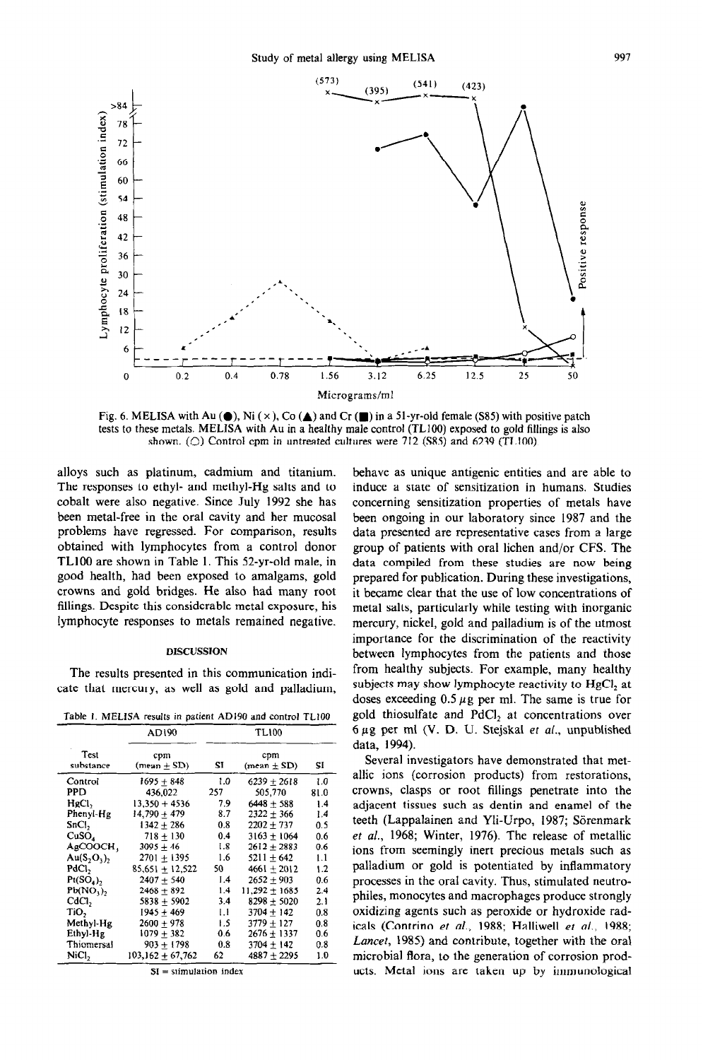

Fig. 6. MELISA with Au ( $\bullet$ ), Ni ( $\times$ ), Co ( $\blacktriangle$ ) and Cr ( $\blacksquare$ ) in a 51-yr-old female (S85) with positive patch tests to these metals. MELISA with Au in a healthy male control (TLIOO) exposed to gold fillings is also shown. (C) Control cpm in untreated cultures were 712 (S85) and 6239 (TL100).

alloys such as platinum, cadmium and titanium. The responses to ethyl- and methyl-Hg salts and to cobalt were also negative. Since July 1992 she has been metal-free in the oral cavity and her mucosal problems have regressed. For comparison, results obtained with lymphocytes from a control donor TLIOO are shown in Table 1. This 52-yr-old male, in good health, had been exposed to amalgams, gold crowns and gold bridges. He also had many root fillings. Despite this considerable metal exposure, his lymphocyte responses to metals remained negative.

#### DISCUSSION

The results presented in this communication indicate that mercury, as well as gold and palladium,

Table I. MELISA results in patient AD190 and control TLlOO

|                   | <b>AD190</b>           |     | <b>TL100</b>           |      |
|-------------------|------------------------|-----|------------------------|------|
| Test<br>substance | cpm<br>$(mean \pm SD)$ | SI  | cpm<br>$(mean \pm SD)$ | SI   |
| Control           | $1695 + 848$           | 1.0 | $6239 \pm 2618$        | 1.0  |
| PPD               | 436,022                | 257 | 505,770                | 81.0 |
| HeCl.             | $13,350 + 4536$        | 7.9 | $6448 + 588$           | 1.4  |
| Phenyl-Hg         | $14.790 + 479$         | 8.7 | $2322 + 366$           | 1.4  |
| SnCI <sub>1</sub> | $1342 + 286$           | 0.8 | $2202 + 737$           | 0.5  |
| CuSO,             | $718 + 130$            | 0.4 | $3163 \pm 1064$        | 0.6  |
| AgCOOCH,          | $3095 + 46$            | 1.8 | $2612 + 2883$          | 0.6  |
| $Au(S, O1)$ ,     | $2701 + 1395$          | 1.6 | $5211 \pm 642$         | 1.1  |
| PdCl,             | $85,651 + 12,522$      | 50. | $4661 + 2012$          | 1.2  |
| $Pt(SO_4)$        | $2407 + 540$           | 1.4 | $2652 + 903$           | 06   |
| $Pb(NO_1)$ ,      | $2468 + 892$           | 1.4 | $11,292 \pm 1685$      | 2.4  |
| CdCl,             | $5838 + 5902$          | 3.4 | $8298 \pm 5020$        | 2.1  |
| TiO,              | 1945 + 469             | 1.1 | $3704 + 142$           | 0.8  |
| Methyl-Hg         | $2600 + 978$           | I.S | $3779 \pm 127$         | 0.8  |
| Ethyl-Hg          | $1079 + 382$           | 0.6 | $2676 + 1337$          | 0.6  |
| Thiomersal        | $903 + 1798$           | 0.8 | $3704 \pm 142$         | 0.8  |
| NiCl,             | 103,162 + 67,762       | 62. | $4887 \pm 2295$        | 1.0  |

 $SI =$  stimulation index

behave as unique antigenic entities and are able to induce a state of sensitization in humans. Studies concerning sensitization properties of metals have been ongoing in our laboratory since 1987 and the data presented are representative cases from a large group of patients with oral lichen and/or CFS. The data compiled from these studies are now being prepared for publication. During these investigations, it became clear that the use of low concentrations of metal salts, particularly while testing with inorganic mercury, nickel, gold and palladium is of the utmost importance for the discrimination of the reactivity between lymphocytes from the patients and those from healthy subjects. For example, many healthy subjects may show lymphocyte reactivity to HgCl, at doses exceeding  $0.5 \mu$ g per ml. The same is true for gold thiosulfate and PdCl<sub>2</sub> at concentrations over  $6 \mu g$  per ml (V. D. U. Stejskal et al., unpublished data, 1994).

Several investigators have demonstrated that metallic ions (corrosion products) from restorations, crowns, clasps or root fillings penetrate into the adjacent tissues such as dentin and enamel of the teeth (Lappalainen and Yli-Urpo, 1987; Sörenmark et al., 1968; Winter, 1976). The release of metallic ions from seemingly inert precious metals such as palladium or gold is potentiated by inflammatory processes in the oral cavity. Thus, stimulated neutrophiles, monocytes and macrophages produce strongly oxidizing agents such as peroxide or hydroxide radicals (Contrino *et al.,* 1988; Halliwell et al., 1988; Lancet, 1985) and contribute, together with the oral microbial flora, to the generation of corrosion products. Metal ions are taken up by immunological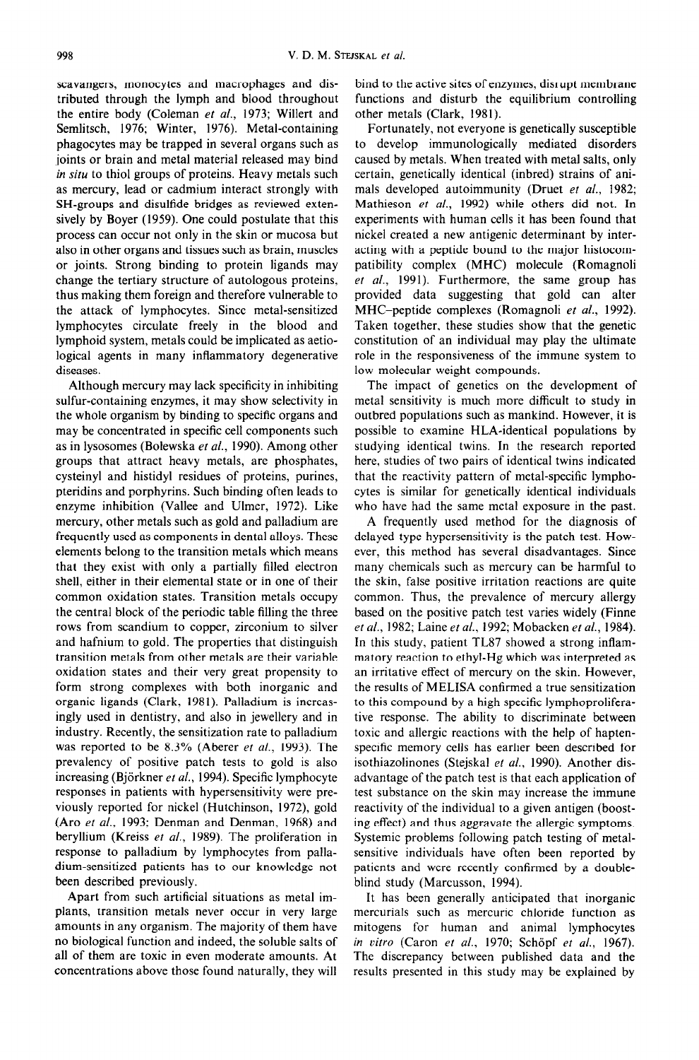scavangers, monocytes and macrophages and distributed through the lymph and blood throughout the entire body (Coleman *et a/.,* 1973; Willert and Semlitsch, 1976; Winter, 1976). Metal-containing phagocytes may be trapped in several organs such as joints or brain and metal material released may bind *in situ* to thiol groups of proteins. Heavy metals such as mercury, lead or cadmium interact strongly with SH-groups and disulfide bridges as reviewed extensively by Boyer (1959). One could postulate that this process can occur not only in the skin or mucosa but also in other organs and tissues such as brain, muscles or joints. Strong binding to protein ligands may change the tertiary structure of autologous proteins, thus making them foreign and therefore vulnerable to the attack of lymphocytes. Since metal-sensitized lymphocytes circulate freely in the blood and lymphoid system, metals could be implicated as aetiological agents in many inflammatory degenerative diseases.

Although mercury may lack specificity in inhibiting sulfur-containing enzymes, it may show selectivity in the whole organism by binding to specific organs and may be concentrated in specific cell components such as in lysosomes (Bolewska et *al.,* 1990). Among other groups that attract heavy metals, are phosphates, cysteinyl and histidyl residues of proteins, purines, pteridins and porphyrins. Such binding often leads to enzyme inhibition (Vallee and Ulmer, 1972). Like mercury, other metals such as gold and palladium are frequently used as components in dental alloys. These elements belong to the transition metals which means that they exist with only a partially filled electron shell, either in their elemental state or in one of their common oxidation states. Transition metals occupy the central block of the periodic table filling the three rows from scandium to copper, zirconium to silver and hafnium to gold. The properties that distinguish transition metals from other metals are their variable oxidation states and their very great propensity to form strong complexes with both inorganic and organic ligands (Clark, 1981). Palladium is increasingly used in dentistry, and also in jewellery and in industry. Recently, the sensitization rate to palladium was reported to be 8.3% (Aberer *et al.,* 1993). The prevalency of positive patch tests to gold is also increasing (Björkner et al., 1994). Specific lymphocyte responses in patients with hypersensitivity were previously reported for nickel (Hutchinson, 1972), gold (Aro *et al.,* 1993; Denman and Denman, 1968) and beryllium (Kreiss et *al.,* 1989). The proliferation in response to palladium by lymphocytes from palladium-sensitized patients has to our knowledge not been described previously.

no biological function and indeed, the soluble salts of *in vitro* (Caron et al., 1970; Schöpf et al., 1967). all of them are toxic in even moderate amounts. At The discrepancy between published data and the

bind to the active sites of enzymes, disrupt membrane functions and disturb the equilibrium controlling other metals (Clark, 1981).

Fortunately, not everyone is genetically susceptible to develop immunologically mediated disorders caused by metals. When treated with metal salts, only certain, genetically identical (inbred) strains of animals developed autoimmunity (Druet *et al.,* 1982; Mathieson *et al.,* 1992) while others did not. In experiments with human cells it has been found that nickel created a new antigenic determinant by interacting with a peptide bound to the major histocompatibility complex (MHC) molecule (Romagnoli *et al.,* 1991). Furthermore, the same group has provided data suggesting that gold can alter MHC-peptide complexes (Romagnoli *et al.,* 1992). Taken together, these studies show that the genetic constitution of an individual may play the ultimate role in the responsiveness of the immune system to low molecular weight compounds.

The impact of genetics on the development of metal sensitivity is much more difficult to study in outbred populations such as mankind. However, it is possible to examine HLA-identical populations by studying identical twins. In the research reported here, studies of two pairs of identical twins indicated that the reactivity pattern of metal-specific lymphocytes is similar for genetically identical individuals who have had the same metal exposure in the past.

A frequently used method for the diagnosis of delayed type hypersensitivity is the patch test. However, this method has several disadvantages. Since many chemicals such as mercury can be harmful to the skin, false positive irritation reactions are quite common. Thus, the prevalence of mercury allergy based on the positive patch test varies widely (Finne *et al.,* 1982; Laine et *al.,* 1992; Mobacken *et al.,* 1984). In this study, patient TL87 showed a strong inflammatory reaction to ethyl-Hg which was interpreted as an irritative effect of mercury on the skin. However, the results of MELISA confirmed a true sensitization to this compound by a high specific lymphoproliferative response. The ability to discriminate between toxic and allergic reactions with the help of haptenspecific memory cells has earlier been described for isothiazolinones (Stejskal *et al.,* 1990). Another disadvantage of the patch test is that each application of test substance on the skin may increase the immune reactivity of the individual to a given antigen (boosting effect) and thus aggravate the allergic symptoms. Systemic problems following patch testing of metalsensitive individuals have often been reported by patients and were recently confirmed by a doubleblind study (Marcusson, 1994).

Apart from such artificial situations as metal im- It has been generally anticipated that inorganic plants, transition metals never occur in very large mercurials such as mercuric chloride function as amounts in any organism. The majority of them have mitogens for human and animal lymphocytes concentrations above those found naturally, they will results presented in this study may be explained by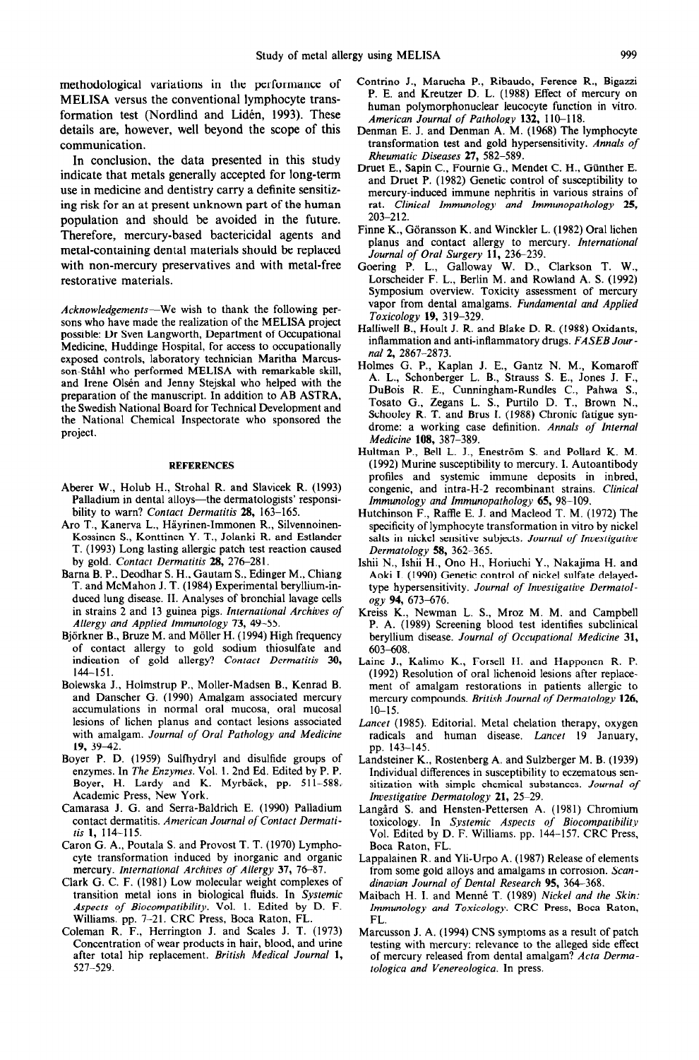methodological variations in the performance of MELISA versus the conventional lymphocyte transformation test (Nordlind and Lidén, 1993). These details are, however, well beyond the scope of this communication.

In conclusion, the data presented in this study indicate that metals generally accepted for long-term use in medicine and dentistry carry a definite sensitizing risk for an at present unknown part of the human population and should be avoided in the future. Therefore, mercury-based bactericidal agents and metal-containing dental materials should be replaced with non-mercury preservatives and with metal-free restorative materials.

*Acknowledgements-We* wish to thank the following persons who have made the realization of the MELISA project possible: Dr Sven Langworth, Department of Occupational Medicine, Huddinge Hospital, for access to occupationally exposed controls, laboratory technician Maritha Marcusson-Stahl who performed MELISA with remarkable skill, and Irene Olsén and Jenny Stejskal who helped with the preparation of the manuscript. In addition to AB ASTRA, the Swedish National Board for Technical Development and the National Chemical Inspectorate who sponsored the project.

#### REFERENCES

- Aberer W., Holub H., Strohal R. and Slavicek R. (1993) Palladium in dental alloys-the dermatologists' responsibility to warn? Contact Dermatitis 28, 163-165.
- Aro T., Kanerva L., Hayrinen-Immonen R., Silvennoinen-Kossinen S., Konttinen Y. T., Jolanki R. and Estlander T. (1993) Long lasting allergic patch test reaction caused by gold. Contact Dermatitis 28, 276-281.
- Barna B. P., Deodhar S. H., Gautam S., Edinger M., Chiang T. and McMahon J. T. (1984) Experimental beryllium-induced lung disease. II. Analyses of bronchial lavage cells in strains 2 and 13 guinea pigs. *International Archives of Allergy and Applied~lmmunology 13, 49-55.*
- Björkner B., Bruze M. and Möller H. (1994) High frequency of contact allergy to gold sodium thiosulfate and indication of gold allergy? *Contact Dermafitis 30, 144-151.*
- Bolewska J., Holmstrup P., Moller-Madsen B., Kenrad B. and Danscher G. (1990) Amalgam associated mercury accumulations in normal oral mucosa, oral mucosal lesions of lichen planus and contact lesions associated with amalgam. *Journal of Oral Pathology and Medicine 19, 3942.*
- Boyer P. D. (1959) Sulfhydryl and disulfide groups of enzymes. In *The Enzymes.* Vol. 1.2nd Ed. Edited by P. P. Boyer, H. Lardy and K. Myrback, pp. 511-588. Academic Press, New York.
- Camarasa J. G. and Serra-Baldrich E. (1990) Palladium contact dermatitis. *American Journal of Conracr Dermatitis* I, 114-115.
- Caron G. A., Poutala S. and Provost T. T. (1970) Lymphocyte transformation induced by inorganic and organic mercury. *International Archives of Allergy 31, 76-87.*
- Clark G. C. F. (1981) Low molecular weight complexes of transition metal ions in biological fluids. In *Systemic Aspects of Biocompatibility.* Vol. 1. Edited by D. F. Williams. pp. 7-21. CRC Press, Boca Raton, FL.
- Coleman R. F., Herrington J. and Scales J. T. (1973) Concentration of wear products in hair, blood, and urine after total hip replacement. *British Medical Journal* 1, 527-529.
- Contrino J., Marucha P., Ribaudo, Ference R., Bigazzi P. E. and Kreutzer D. L. (1988) Effect of mercury on human polymorphonuclear leucocyte function in vitro. American Journal of Pathology 132, 110-118.
- Denman E. J. and Denman A. M. (1968) The lymphocyte transformation test and gold hypersensitivity. *Annals of Rheumatic Diseases 27, 582-589.*
- Druet E., Sapin C., Fournie G., Mendet C. H., Gunther E. and Druet P. (1982) Genetic control of susceptibility to mercury-induced immune nephritis in various strains of rat. *Clinical Immunology and Immunopathoiogy 25, 203-212.*
- Finne K., Göransson K. and Winckler L. (1982) Oral lichen planus and contact allergy to mercury. *Infernational Journal of Oral Surgery* **11, 236-239.**
- Goering P. L., Galloway W. D., Clarkson T. W., Lorscheider F. L., Berlin M. and Rowland A. S. (1992) Symposium overview. Toxicity assessment of mercury vapor from dental amalgams. *Fundamental and Applied*  Toxicology 19, 319-329.
- Halliwell B., Hoult J. R. and Blake D. R. (1988) Oxidants, inflammation and anti-inflammatory drugs. *FASEB Journal 2, 2867-2873.*
- Holmes G. P., Kaplan J. E., Gantz N. M., Komaroff A. L., Schonberger L. B., Strauss S. E., Jones J. F., DuBois R. E., Cunningham-Rundles C., Pahwa S., Tosato G., Zegans L. S., Purtilo D. T., Brown N., Schooley R. T. and Brus I. (1988) Chronic fatigue syndrome: a working case definition. Annals of Internal *Medicine* **108,** 387-389.
- Hultman P., Bell L. J., Eneström S. and Pollard K. M. (1992) Murine susceptibility to mercury. I. Autoantibody profiles and systemic immune deposits in inbred, congenic, and intra-H-2 recombinant strains. *Clinical Immunology and Immunopathology* 65, 98-109.
- Hutchinson F., Raffle E. J. and Macleod T. M. (1972) The specificity of lymphocyte transformation in vitro by nickel salts in nickel sensitive subjects. *Journal of Investigafive Dermatology 58, 362-365.*
- Ishii N., Ishii H., Ono H., Horiuchi Y., Nakajima H. and Aoki I. (1990) Genetic control of nickel sulfate delayedtype hypersensitivity. *Journal of Investigative Dermatoi* $ogy$  94, 673-676.
- Kreiss K., Newman L. S., Mroz M. M. and Campbell P. A. (1989) Screening blood test identifies subclinical beryllium disease. *Journal of Occupational Medicine 31,*  603-608.
- Laine J., Kalimo K., Forsell H. and Happonen R. P. (1992) Resolution of oral lichenoid lesions after replacement of amalgam restorations in patients allergic to mercury compounds. *British Journal of Dermatology 126, 10-15.*
- *Lancer (1985).* Editorial. Metal chelation therapy, oxygen radicals and human disease. Lancet 19 January, pp. 143-145.
- Landsteiner K., Rostenberg A. and Sulzberger M. B. (1939) Individual differences in susceptibility to eczematous sensitization with simple chemical substances. *Journal of Investigative Dermatology* 21, 25-29.
- Langård S. and Hensten-Pettersen A. (1981) Chromium toxicology. In *Svstemic Aspects of Biocompatibility*  Vol. Edited by D. F. Williams. pp. 144-157. CRC Press, Boca Raton, FL.
- Lappalainen R. and Yli-Urpo A. (1987) Release of elements from some gold alloys and amalgams in corrosion. *Scan*dinavian Journal of Dental Research 95, 364–368.
- Maibach H. I. and Menne T. (1989) *Nickel and the Skin: Immunology and Toxicology.* CRC Press, Boca Raton, FL.
- Marcusson J. A. (1994) CNS symptoms as a result of patch testing with mercury: relevance to the alleged side effect of mercury released from dental amalgam? *Acfa Dermatologica and Venereologica.* In press.